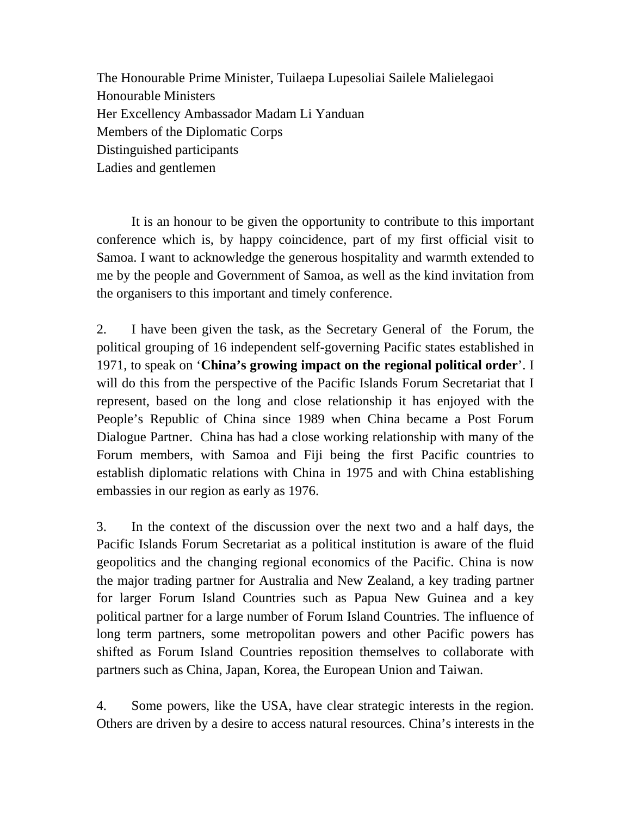The Honourable Prime Minister, Tuilaepa Lupesoliai Sailele Malielegaoi Honourable Ministers Her Excellency Ambassador Madam Li Yanduan Members of the Diplomatic Corps Distinguished participants Ladies and gentlemen

It is an honour to be given the opportunity to contribute to this important conference which is, by happy coincidence, part of my first official visit to Samoa. I want to acknowledge the generous hospitality and warmth extended to me by the people and Government of Samoa, as well as the kind invitation from the organisers to this important and timely conference.

2. I have been given the task, as the Secretary General of the Forum, the political grouping of 16 independent self-governing Pacific states established in 1971, to speak on '**China's growing impact on the regional political order**'. I will do this from the perspective of the Pacific Islands Forum Secretariat that I represent, based on the long and close relationship it has enjoyed with the People's Republic of China since 1989 when China became a Post Forum Dialogue Partner. China has had a close working relationship with many of the Forum members, with Samoa and Fiji being the first Pacific countries to establish diplomatic relations with China in 1975 and with China establishing embassies in our region as early as 1976.

3. In the context of the discussion over the next two and a half days, the Pacific Islands Forum Secretariat as a political institution is aware of the fluid geopolitics and the changing regional economics of the Pacific. China is now the major trading partner for Australia and New Zealand, a key trading partner for larger Forum Island Countries such as Papua New Guinea and a key political partner for a large number of Forum Island Countries. The influence of long term partners, some metropolitan powers and other Pacific powers has shifted as Forum Island Countries reposition themselves to collaborate with partners such as China, Japan, Korea, the European Union and Taiwan.

4. Some powers, like the USA, have clear strategic interests in the region. Others are driven by a desire to access natural resources. China's interests in the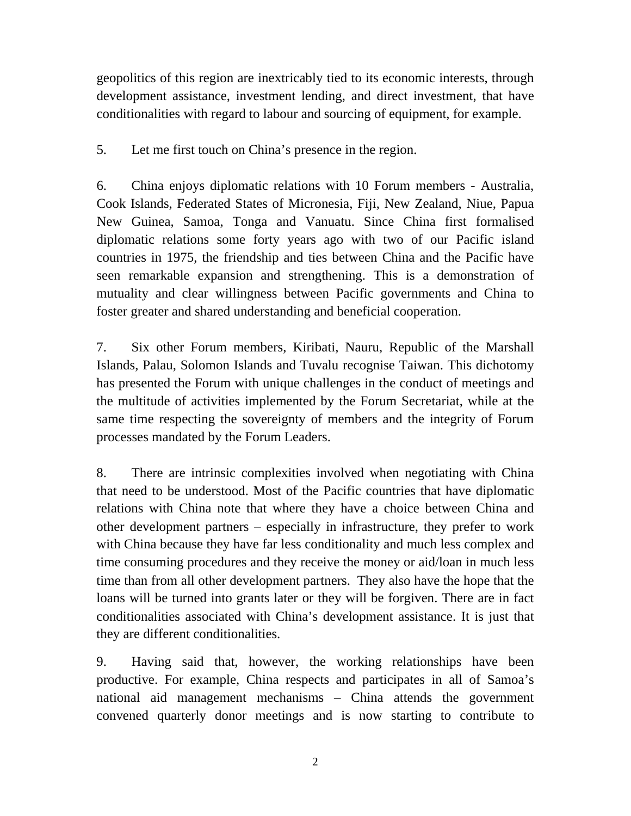geopolitics of this region are inextricably tied to its economic interests, through development assistance, investment lending, and direct investment, that have conditionalities with regard to labour and sourcing of equipment, for example.

5. Let me first touch on China's presence in the region.

6. China enjoys diplomatic relations with 10 Forum members - Australia, Cook Islands, Federated States of Micronesia, Fiji, New Zealand, Niue, Papua New Guinea, Samoa, Tonga and Vanuatu. Since China first formalised diplomatic relations some forty years ago with two of our Pacific island countries in 1975, the friendship and ties between China and the Pacific have seen remarkable expansion and strengthening. This is a demonstration of mutuality and clear willingness between Pacific governments and China to foster greater and shared understanding and beneficial cooperation.

7. Six other Forum members, Kiribati, Nauru, Republic of the Marshall Islands, Palau, Solomon Islands and Tuvalu recognise Taiwan. This dichotomy has presented the Forum with unique challenges in the conduct of meetings and the multitude of activities implemented by the Forum Secretariat, while at the same time respecting the sovereignty of members and the integrity of Forum processes mandated by the Forum Leaders.

8. There are intrinsic complexities involved when negotiating with China that need to be understood. Most of the Pacific countries that have diplomatic relations with China note that where they have a choice between China and other development partners – especially in infrastructure, they prefer to work with China because they have far less conditionality and much less complex and time consuming procedures and they receive the money or aid/loan in much less time than from all other development partners. They also have the hope that the loans will be turned into grants later or they will be forgiven. There are in fact conditionalities associated with China's development assistance. It is just that they are different conditionalities.

9. Having said that, however, the working relationships have been productive. For example, China respects and participates in all of Samoa's national aid management mechanisms – China attends the government convened quarterly donor meetings and is now starting to contribute to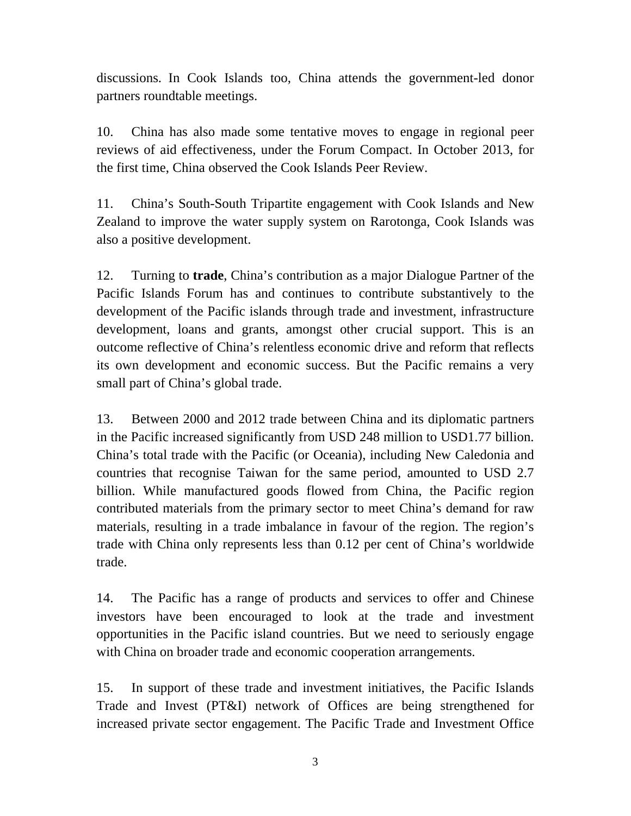discussions. In Cook Islands too, China attends the government-led donor partners roundtable meetings.

10. China has also made some tentative moves to engage in regional peer reviews of aid effectiveness, under the Forum Compact. In October 2013, for the first time, China observed the Cook Islands Peer Review.

11. China's South-South Tripartite engagement with Cook Islands and New Zealand to improve the water supply system on Rarotonga, Cook Islands was also a positive development.

12. Turning to **trade**, China's contribution as a major Dialogue Partner of the Pacific Islands Forum has and continues to contribute substantively to the development of the Pacific islands through trade and investment, infrastructure development, loans and grants, amongst other crucial support. This is an outcome reflective of China's relentless economic drive and reform that reflects its own development and economic success. But the Pacific remains a very small part of China's global trade.

13. Between 2000 and 2012 trade between China and its diplomatic partners in the Pacific increased significantly from USD 248 million to USD1.77 billion. China's total trade with the Pacific (or Oceania), including New Caledonia and countries that recognise Taiwan for the same period, amounted to USD 2.7 billion. While manufactured goods flowed from China, the Pacific region contributed materials from the primary sector to meet China's demand for raw materials, resulting in a trade imbalance in favour of the region. The region's trade with China only represents less than 0.12 per cent of China's worldwide trade.

14. The Pacific has a range of products and services to offer and Chinese investors have been encouraged to look at the trade and investment opportunities in the Pacific island countries. But we need to seriously engage with China on broader trade and economic cooperation arrangements.

15. In support of these trade and investment initiatives, the Pacific Islands Trade and Invest (PT&I) network of Offices are being strengthened for increased private sector engagement. The Pacific Trade and Investment Office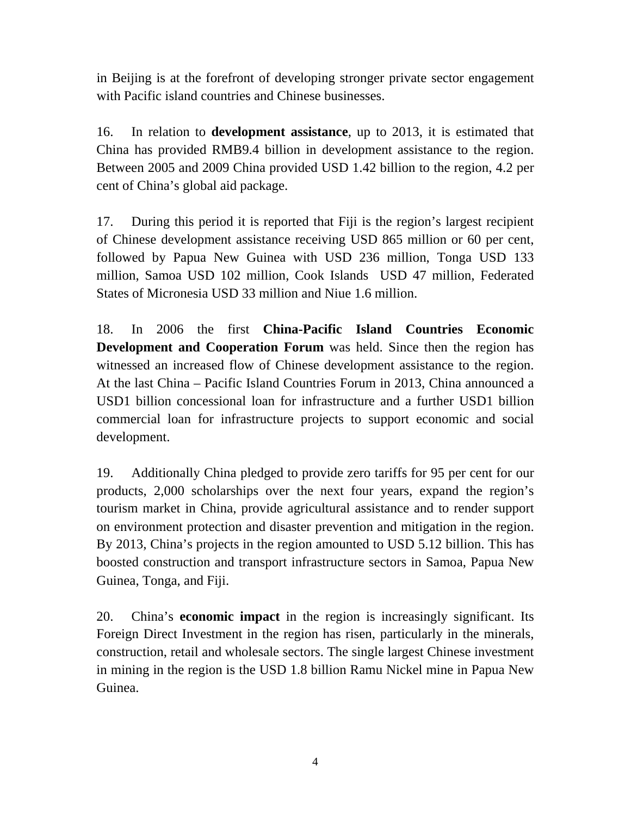in Beijing is at the forefront of developing stronger private sector engagement with Pacific island countries and Chinese businesses.

16. In relation to **development assistance**, up to 2013, it is estimated that China has provided RMB9.4 billion in development assistance to the region. Between 2005 and 2009 China provided USD 1.42 billion to the region, 4.2 per cent of China's global aid package.

17. During this period it is reported that Fiji is the region's largest recipient of Chinese development assistance receiving USD 865 million or 60 per cent, followed by Papua New Guinea with USD 236 million, Tonga USD 133 million, Samoa USD 102 million, Cook Islands USD 47 million, Federated States of Micronesia USD 33 million and Niue 1.6 million.

18. In 2006 the first **China-Pacific Island Countries Economic Development and Cooperation Forum** was held. Since then the region has witnessed an increased flow of Chinese development assistance to the region. At the last China – Pacific Island Countries Forum in 2013, China announced a USD1 billion concessional loan for infrastructure and a further USD1 billion commercial loan for infrastructure projects to support economic and social development.

19. Additionally China pledged to provide zero tariffs for 95 per cent for our products, 2,000 scholarships over the next four years, expand the region's tourism market in China, provide agricultural assistance and to render support on environment protection and disaster prevention and mitigation in the region. By 2013, China's projects in the region amounted to USD 5.12 billion. This has boosted construction and transport infrastructure sectors in Samoa, Papua New Guinea, Tonga, and Fiji.

20. China's **economic impact** in the region is increasingly significant. Its Foreign Direct Investment in the region has risen, particularly in the minerals, construction, retail and wholesale sectors. The single largest Chinese investment in mining in the region is the USD 1.8 billion Ramu Nickel mine in Papua New Guinea.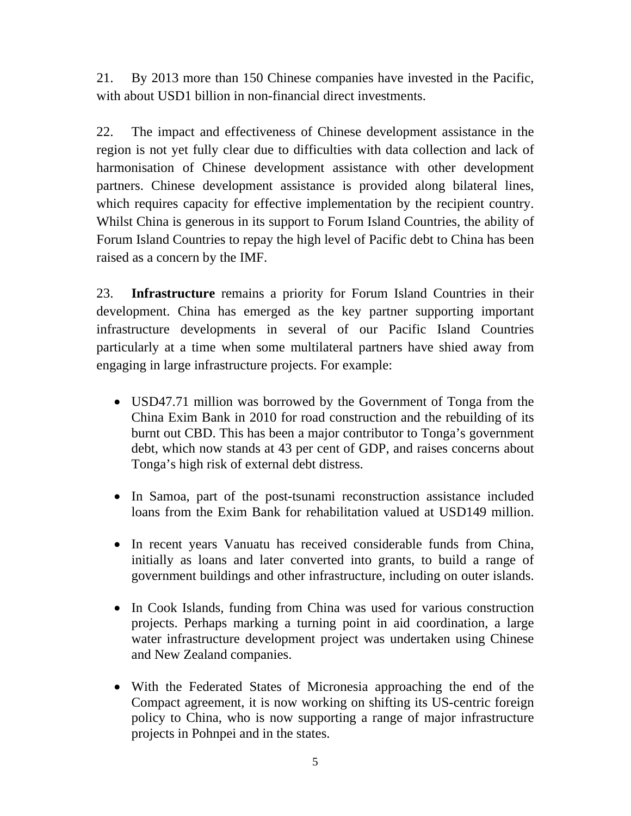21. By 2013 more than 150 Chinese companies have invested in the Pacific, with about USD1 billion in non-financial direct investments.

22. The impact and effectiveness of Chinese development assistance in the region is not yet fully clear due to difficulties with data collection and lack of harmonisation of Chinese development assistance with other development partners. Chinese development assistance is provided along bilateral lines, which requires capacity for effective implementation by the recipient country. Whilst China is generous in its support to Forum Island Countries, the ability of Forum Island Countries to repay the high level of Pacific debt to China has been raised as a concern by the IMF.

23. **Infrastructure** remains a priority for Forum Island Countries in their development. China has emerged as the key partner supporting important infrastructure developments in several of our Pacific Island Countries particularly at a time when some multilateral partners have shied away from engaging in large infrastructure projects. For example:

- USD47.71 million was borrowed by the Government of Tonga from the China Exim Bank in 2010 for road construction and the rebuilding of its burnt out CBD. This has been a major contributor to Tonga's government debt, which now stands at 43 per cent of GDP, and raises concerns about Tonga's high risk of external debt distress.
- In Samoa, part of the post-tsunami reconstruction assistance included loans from the Exim Bank for rehabilitation valued at USD149 million.
- In recent years Vanuatu has received considerable funds from China, initially as loans and later converted into grants, to build a range of government buildings and other infrastructure, including on outer islands.
- In Cook Islands, funding from China was used for various construction projects. Perhaps marking a turning point in aid coordination, a large water infrastructure development project was undertaken using Chinese and New Zealand companies.
- With the Federated States of Micronesia approaching the end of the Compact agreement, it is now working on shifting its US-centric foreign policy to China, who is now supporting a range of major infrastructure projects in Pohnpei and in the states.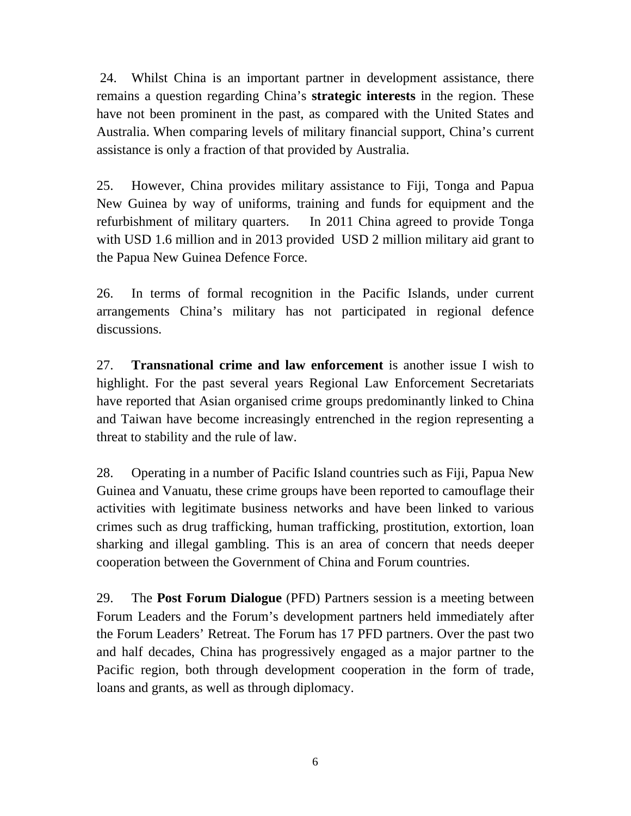24. Whilst China is an important partner in development assistance, there remains a question regarding China's **strategic interests** in the region. These have not been prominent in the past, as compared with the United States and Australia. When comparing levels of military financial support, China's current assistance is only a fraction of that provided by Australia.

25. However, China provides military assistance to Fiji, Tonga and Papua New Guinea by way of uniforms, training and funds for equipment and the refurbishment of military quarters. In 2011 China agreed to provide Tonga with USD 1.6 million and in 2013 provided USD 2 million military aid grant to the Papua New Guinea Defence Force.

26. In terms of formal recognition in the Pacific Islands, under current arrangements China's military has not participated in regional defence discussions.

27. **Transnational crime and law enforcement** is another issue I wish to highlight. For the past several years Regional Law Enforcement Secretariats have reported that Asian organised crime groups predominantly linked to China and Taiwan have become increasingly entrenched in the region representing a threat to stability and the rule of law.

28. Operating in a number of Pacific Island countries such as Fiji, Papua New Guinea and Vanuatu, these crime groups have been reported to camouflage their activities with legitimate business networks and have been linked to various crimes such as drug trafficking, human trafficking, prostitution, extortion, loan sharking and illegal gambling. This is an area of concern that needs deeper cooperation between the Government of China and Forum countries.

29. The **Post Forum Dialogue** (PFD) Partners session is a meeting between Forum Leaders and the Forum's development partners held immediately after the Forum Leaders' Retreat. The Forum has 17 PFD partners. Over the past two and half decades, China has progressively engaged as a major partner to the Pacific region, both through development cooperation in the form of trade, loans and grants, as well as through diplomacy.